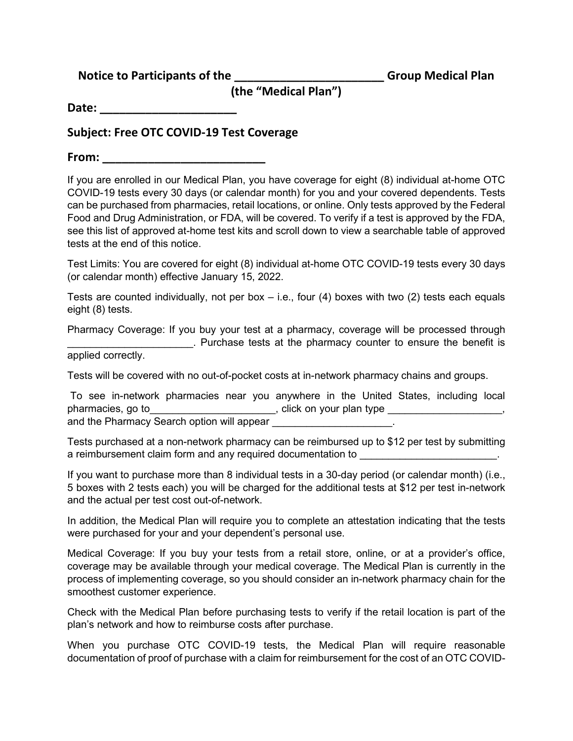**Notice to Participants of the \_\_\_\_\_\_\_\_\_\_\_\_\_\_\_\_\_\_\_\_\_\_\_ Group Medical Plan**

**(the "Medical Plan")**

**Date: \_\_\_\_\_\_\_\_\_\_\_\_\_\_\_\_\_\_\_\_\_**

## **Subject: Free OTC COVID-19 Test Coverage**

**From: \_\_\_\_\_\_\_\_\_\_\_\_\_\_\_\_\_\_\_\_\_\_\_\_\_**

If you are enrolled in our Medical Plan, you have coverage for eight (8) individual at-home OTC COVID-19 tests every 30 days (or calendar month) for you and your covered dependents. Tests can be purchased from pharmacies, retail locations, or online. Only tests approved by the Federal Food and Drug Administration, or FDA, will be covered. To verify if a test is approved by the FDA, see this list of approved at-home test kits and scroll down to view a searchable table of approved tests at the end of this notice.

Test Limits: You are covered for eight (8) individual at-home OTC COVID-19 tests every 30 days (or calendar month) effective January 15, 2022.

Tests are counted individually, not per box  $-$  i.e., four (4) boxes with two (2) tests each equals eight (8) tests.

Pharmacy Coverage: If you buy your test at a pharmacy, coverage will be processed through \_\_\_\_\_\_\_\_\_\_\_\_\_\_\_\_\_\_\_\_\_\_. Purchase tests at the pharmacy counter to ensure the benefit is

applied correctly.

Tests will be covered with no out-of-pocket costs at in-network pharmacy chains and groups.

To see in-network pharmacies near you anywhere in the United States, including local pharmacies, go to\_\_\_\_\_\_\_\_\_\_\_\_\_\_\_\_\_\_\_\_\_\_\_\_, click on your plan type \_\_\_\_\_\_\_\_\_\_\_\_\_\_\_\_\_\_\_, and the Pharmacy Search option will appear

Tests purchased at a non-network pharmacy can be reimbursed up to \$12 per test by submitting a reimbursement claim form and any required documentation to **with the same of the same of the same of the same of the same of the same of the same of the same of the same of the same of the same of the same of the same of** 

If you want to purchase more than 8 individual tests in a 30-day period (or calendar month) (i.e., 5 boxes with 2 tests each) you will be charged for the additional tests at \$12 per test in-network and the actual per test cost out-of-network.

In addition, the Medical Plan will require you to complete an attestation indicating that the tests were purchased for your and your dependent's personal use.

Medical Coverage: If you buy your tests from a retail store, online, or at a provider's office, coverage may be available through your medical coverage. The Medical Plan is currently in the process of implementing coverage, so you should consider an in-network pharmacy chain for the smoothest customer experience.

Check with the Medical Plan before purchasing tests to verify if the retail location is part of the plan's network and how to reimburse costs after purchase.

When you purchase OTC COVID-19 tests, the Medical Plan will require reasonable documentation of proof of purchase with a claim for reimbursement for the cost of an OTC COVID-